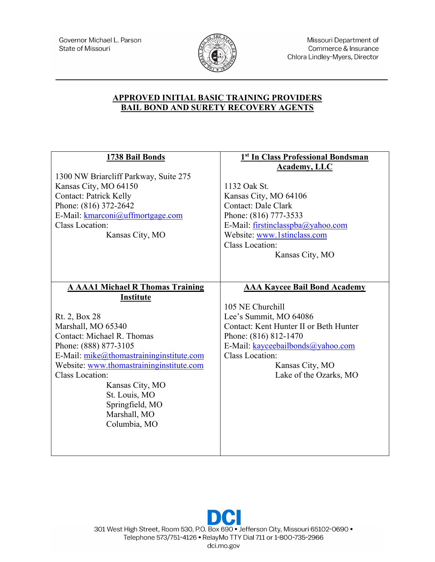

Missouri Department of Commerce & Insurance Chlora Lindley-Myers, Director

## **APPROVED INITIAL BASIC TRAINING PROVIDERS BAIL BOND AND SURETY RECOVERY AGENTS**

| 1738 Bail Bonds<br>1300 NW Briarcliff Parkway, Suite 275<br>Kansas City, MO 64150<br><b>Contact: Patrick Kelly</b><br>Phone: (816) 372-2642<br>E-Mail: kmarconi@uffmortgage.com<br><b>Class Location:</b><br>Kansas City, MO                                   | 1st In Class Professional Bondsman<br><b>Academy, LLC</b><br>1132 Oak St.<br>Kansas City, MO 64106<br>Contact: Dale Clark<br>Phone: (816) 777-3533<br>E-Mail: firstinclasspba@yahoo.com<br>Website: www.1stinclass.com<br><b>Class Location:</b> |
|----------------------------------------------------------------------------------------------------------------------------------------------------------------------------------------------------------------------------------------------------------------|--------------------------------------------------------------------------------------------------------------------------------------------------------------------------------------------------------------------------------------------------|
| <b>A AAA1 Michael R Thomas Training</b><br><b>Institute</b><br>Rt. 2, Box 28<br>Marshall, MO 65340                                                                                                                                                             | Kansas City, MO<br><b>AAA Kaycee Bail Bond Academy</b><br>105 NE Churchill<br>Lee's Summit, MO 64086<br>Contact: Kent Hunter II or Beth Hunter                                                                                                   |
| Contact: Michael R. Thomas<br>Phone: (888) 877-3105<br>E-Mail: $mike@thomastraininginstitute.com$<br>Website: www.thomastraininginstitute.com<br><b>Class Location:</b><br>Kansas City, MO<br>St. Louis, MO<br>Springfield, MO<br>Marshall, MO<br>Columbia, MO | Phone: (816) 812-1470<br>E-Mail: kayceebailbonds@yahoo.com<br><b>Class Location:</b><br>Kansas City, MO<br>Lake of the Ozarks, MO                                                                                                                |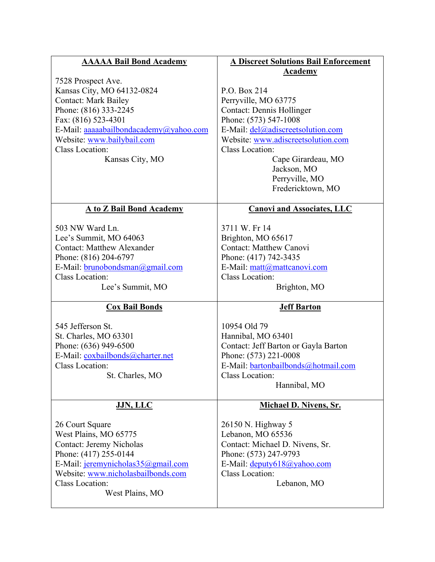| <b>AAAAA Bail Bond Academy</b>         | <b>A Discreet Solutions Bail Enforcement</b> |
|----------------------------------------|----------------------------------------------|
| 7528 Prospect Ave.                     | <b>Academy</b>                               |
| Kansas City, MO 64132-0824             | P.O. Box 214                                 |
| <b>Contact: Mark Bailey</b>            | Perryville, MO 63775                         |
| Phone: (816) 333-2245                  | <b>Contact: Dennis Hollinger</b>             |
| Fax: (816) 523-4301                    | Phone: (573) 547-1008                        |
| E-Mail: aaaaabailbondacademy@yahoo.com | E-Mail: del@adiscreetsolution.com            |
| Website: www.bailybail.com             | Website: www.adiscreetsolution.com           |
| <b>Class Location:</b>                 | <b>Class Location:</b>                       |
| Kansas City, MO                        | Cape Girardeau, MO                           |
|                                        | Jackson, MO                                  |
|                                        | Perryville, MO                               |
|                                        | Fredericktown, MO                            |
| <b>A to Z Bail Bond Academy</b>        | <b>Canovi and Associates, LLC</b>            |
| 503 NW Ward Ln.                        | 3711 W. Fr 14                                |
| Lee's Summit, MO 64063                 | Brighton, MO 65617                           |
| <b>Contact: Matthew Alexander</b>      | <b>Contact: Matthew Canovi</b>               |
| Phone: (816) 204-6797                  | Phone: (417) 742-3435                        |
| E-Mail: brunobondsman@gmail.com        | E-Mail: matt@mattcanovi.com                  |
| <b>Class Location:</b>                 | Class Location:                              |
| Lee's Summit, MO                       | Brighton, MO                                 |
| <b>Cox Bail Bonds</b>                  | <b>Jeff Barton</b>                           |
| 545 Jefferson St.                      | 10954 Old 79                                 |
| St. Charles, MO 63301                  | Hannibal, MO 63401                           |
| Phone: (636) 949-6500                  | Contact: Jeff Barton or Gayla Barton         |
| E-Mail: coxbailbonds@charter.net       | Phone: (573) 221-0008                        |
| Class Location:                        | E-Mail: bartonbailbonds@hotmail.com          |
| St. Charles, MO                        | Class Location:                              |
|                                        | Hannibal, MO                                 |
| <b>JJN, LLC</b>                        | <b>Michael D. Nivens, Sr.</b>                |
| 26 Court Square                        | 26150 N. Highway 5                           |
| West Plains, MO 65775                  | Lebanon, MO 65536                            |
| <b>Contact: Jeremy Nicholas</b>        | Contact: Michael D. Nivens, Sr.              |
| Phone: (417) 255-0144                  | Phone: (573) 247-9793                        |
| E-Mail: jeremynicholas35@gmail.com     | E-Mail: deputy618@yahoo.com                  |
| Website: www.nicholasbailbonds.com     |                                              |
|                                        | Class Location:                              |
| <b>Class Location:</b>                 | Lebanon, MO                                  |
| West Plains, MO                        |                                              |